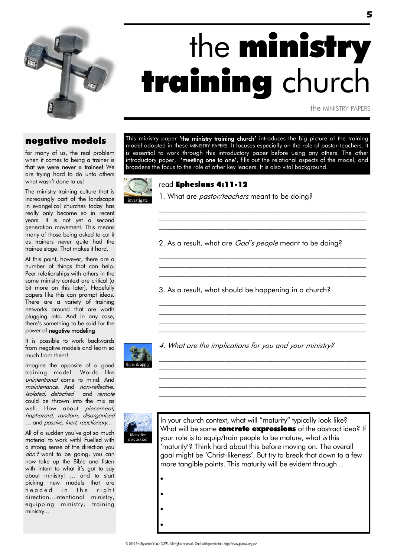

# the **ministry** training church

the MINISTRY PAPERS

### negative models

for many of us, the real problem when it comes to being a trainer is that we were never a trainee! We are trying hard to do unto others what wasn't done to us!

The ministry training culture that is increasingly part of the landscape in evangelical churches today has really only become so in recent years. It is not yet a second generation movement. This means many of those being asked to cut it as trainers never quite had the trainee stage. That makes it hard.

At this point, however, there are a number of things that can help. Peer relationships with others in the same ministry context are critical (a bit more on this later). Hopefully papers like this can prompt ideas. There are a variety of training networks around that are worth plugging into. And in any case, there"s something to be said for the power of negative modeling.

It is possible to work backwards from negative models and learn so much from them!

Imagine the opposite of a good training model. Words like unintentional come to mind. And maintenance. And non-reflective. Isolated, detached and remote could be thrown into the mix as well. How about piecemeal, haphazard, random, disorganised … and passive, inert, reactionary...

All of a sudden you"ve got so much material to work with! Fuelled with a strong sense of the direction you don't want to be going, you can now take up the Bible and listen with intent to what it's got to say about ministry! … and to start picking new models that are headed in the right direction...intentional ministry, equipping ministry, training ministry...

This ministry paper 'the ministry training church' introduces the big picture of the training model adopted in these MINISTRY PAPERS. It focuses especially on the role of pastor-teachers. It is essential to work through this introductory paper before using any others. The other introductory paper, **'meeting one to one'**, fills out the relational aspects of the model, and broadens the focus to the role of other key leaders. It is also vital background.



#### read Ephesians 4:11-12

1. What are *pastor/teachers* meant to be doing?

2. As a result, what are *God's people* meant to be doina?

 $\mathcal{L}_\text{max}$  and the contract of the contract of the contract of the contract of the contract of the contract of \_\_\_\_\_\_\_\_\_\_\_\_\_\_\_\_\_\_\_\_\_\_\_\_\_\_\_\_\_\_\_\_\_\_\_\_\_\_\_\_\_\_\_\_\_\_\_\_\_\_\_\_\_\_\_\_\_ \_\_\_\_\_\_\_\_\_\_\_\_\_\_\_\_\_\_\_\_\_\_\_\_\_\_\_\_\_\_\_\_\_\_\_\_\_\_\_\_\_\_\_\_\_\_\_\_\_\_\_\_\_\_\_\_\_

\_\_\_\_\_\_\_\_\_\_\_\_\_\_\_\_\_\_\_\_\_\_\_\_\_\_\_\_\_\_\_\_\_\_\_\_\_\_\_\_\_\_\_\_\_\_\_\_\_\_\_\_\_\_\_\_\_  $\mathcal{L}_\text{max}$  and the contract of the contract of the contract of the contract of the contract of the contract of  $\mathcal{L}_\text{max}$  and the contract of the contract of the contract of the contract of the contract of the contract of

\_\_\_\_\_\_\_\_\_\_\_\_\_\_\_\_\_\_\_\_\_\_\_\_\_\_\_\_\_\_\_\_\_\_\_\_\_\_\_\_\_\_\_\_\_\_\_\_\_\_\_\_\_\_\_\_\_  $\mathcal{L}_\text{max}$  and the contract of the contract of the contract of the contract of the contract of the contract of  $\mathcal{L}_\text{max}$  and the contract of the contract of the contract of the contract of the contract of the contract of  $\mathcal{L}_\text{max}$  and the contract of the contract of the contract of the contract of the contract of the contract of

\_\_\_\_\_\_\_\_\_\_\_\_\_\_\_\_\_\_\_\_\_\_\_\_\_\_\_\_\_\_\_\_\_\_\_\_\_\_\_\_\_\_\_\_\_\_\_\_\_\_\_\_\_\_\_\_\_ \_\_\_\_\_\_\_\_\_\_\_\_\_\_\_\_\_\_\_\_\_\_\_\_\_\_\_\_\_\_\_\_\_\_\_\_\_\_\_\_\_\_\_\_\_\_\_\_\_\_\_\_\_\_\_\_\_  $\mathcal{L}_\text{max}$  and the contract of the contract of the contract of the contract of the contract of the contract of the contract of the contract of the contract of the contract of the contract of the contract of the contrac  $\mathcal{L}_\text{max}$  and the contract of the contract of the contract of the contract of the contract of the contract of  $\mathcal{L}_\text{max}$  and the contract of the contract of the contract of the contract of the contract of the contract of

3. As a result, what should be happening in a church?



4. What are the implications for you and your ministry?



 $\bullet$ 

 $\bullet$ 

 $\bullet$ 

 $\bullet$ 

In your church context, what will "maturity" typically look like? What will be some concrete expressions of the abstract idea? If your role is to equip/train people to be mature, what *is* this 'maturity"? Think hard about this before moving on. The overall goal might be 'Christ-likeness'. But try to break that down to a few more tangible points. This maturity will be evident through...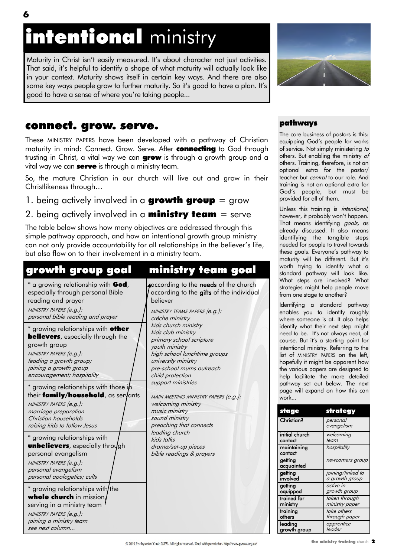# intentional ministry

Maturity in Christ isn't easily measured. It's about character not just activities. That said, it"s helpful to identify a shape of what maturity will actually look like in your context. Maturity shows itself in certain key ways. And there are also some key ways people grow to further maturity. So it's good to have a plan. It's good to have a sense of where you"re taking people...



# connect. grow. serve.

These MINISTRY PAPERS have been developed with a pathway of Christian maturity in mind: Connect. Grow. Serve. After connecting to God through trusting in Christ, a vital way we can **grow** is through a growth group and a vital way we can **serve** is through a ministry team.

So, the mature Christian in our church will live out and grow in their Christlikeness through…

1. being actively involved in a **growth group** = grow

### 2. being actively involved in a **ministry team** = serve

The table below shows how many objectives are addressed through this simple pathway approach, and how an intentional growth group ministry can not only provide accountability for all relationships in the believer"s life, but also flow on to their involvement in a ministry team.

| growth group goal                                                                                                                                                                                                                                                                                                                                                                                                                                                                                                                                                                                                                                                                                                                                                         | ministry team goal                                                                                                                                                                                                                                                                                                                                                                                                                                                                                                                                                                        |
|---------------------------------------------------------------------------------------------------------------------------------------------------------------------------------------------------------------------------------------------------------------------------------------------------------------------------------------------------------------------------------------------------------------------------------------------------------------------------------------------------------------------------------------------------------------------------------------------------------------------------------------------------------------------------------------------------------------------------------------------------------------------------|-------------------------------------------------------------------------------------------------------------------------------------------------------------------------------------------------------------------------------------------------------------------------------------------------------------------------------------------------------------------------------------------------------------------------------------------------------------------------------------------------------------------------------------------------------------------------------------------|
| * a growing relationship with God,<br>especially through personal Bible<br>reading and prayer<br>MINISTRY PAPERS (e.g.):<br>personal bible reading and prayer                                                                                                                                                                                                                                                                                                                                                                                                                                                                                                                                                                                                             | according to the needs of the church<br>according to the gifts of the individual<br>believer<br>MINISTRY TEAMS PAPERS (e.g.):<br>crèche ministry<br>kids church ministry<br>kids club ministry<br>primary school scripture<br>youth ministry<br>high school lunchtime groups<br>university ministry<br>pre-school mums outreach<br>child protection<br>support ministries<br>MAIN MEETING MINISTRY PAPERS (e.g.):<br>welcoming ministry<br>music ministry<br>sound ministry<br>preaching that connects<br>leading church<br>kids talks<br>drama/set-up pieces<br>bible readings & prayers |
| * growing relationships with <b>other</b><br><b>believers</b> , especially through the<br>growth group<br>MINISTRY PAPERS (e.g.):<br>leading a growth group;<br>joining a growth group<br>encouragement; hospitality<br>* growing relationships with those in<br>their family/household, as seryants<br>MINISTRY PAPERS (e.g.):<br>marriage preparation<br>Christian households<br>raising kids to follow Jesus<br>* growing relationships with<br><b>unbelievers</b> , especially through<br>personal evangelism<br>MINISTRY PAPERS (e.g.):<br>personal evangelism<br>personal apologetics; cults<br>* growing relationships with/the<br>whole church in mission,<br>serving in a ministry team<br>MINISTRY PAPERS (e.g.):<br>joining a ministry team<br>see next column |                                                                                                                                                                                                                                                                                                                                                                                                                                                                                                                                                                                           |

### pathways

The core business of pastors is this: equipping God"s people for works of service. Not simply ministering to others. But enabling the ministry of others. Training, therefore, is not an optional extra for the pastor/ teacher but *central* to our role. And training is not an optional extra for God"s people, but must be provided for all of them.

Unless this training is *intentional*, however, it probably won't happen. That means identifying *goals*, as already discussed. It also means identifying the tangible steps needed for people to travel towards these goals. Everyone's pathway to maturity will be different. But it's worth trying to identify what a standard pathway will look like. What steps are involved? What strategies might help people move from one stage to another?

Identifying a standard pathway enables you to identify roughly where someone is at. It also helps identify what their next step might need to be. It's not always neat, of course. But it's a starting point for intentional ministry. Referring to the list of MINISTRY PAPERS on the left, hopefully it might be apparent how the various papers are designed to help facilitate the more detailed pathway set out below. The next page will expand on how this can work...

| stage                  | strategy               |
|------------------------|------------------------|
| <b>Christian?</b>      | personal<br>evangelism |
| initial church         | welcoming              |
| contact                | team                   |
| maintaining<br>contact | hospitality            |
| getting<br>acquainted  | newcomers group        |
| getting                | joining/linked to      |
| involved               | a growth group         |
| getting                | active in              |
| equipped               | growth group           |
| trained for            | taken through          |
| ministry               | ministry paper         |
| training               | take others            |
| others                 | through paper          |
| leading                | apprentice             |
| growth group           | leader                 |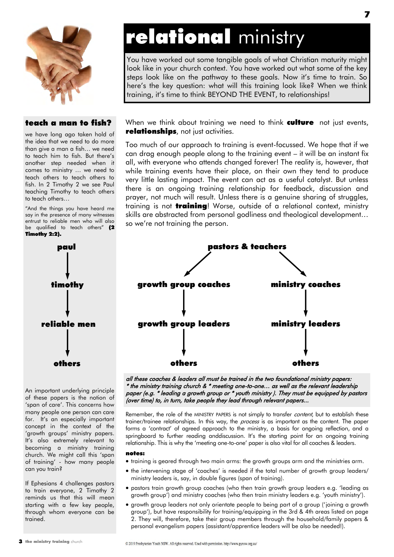

## teach a man to fish?

we have long ago taken hold of the idea that we need to do more than give a man a fish… we need to teach him to fish. But there"s another step needed when it comes to ministry … we need to teach others to teach others to fish. In 2 Timothy 2 we see Paul teaching Timothy to teach others to teach others…

"And the things you have heard me say in the presence of many witnesses entrust to reliable men who will also be qualified to teach others" (2 Timothy 2:2).



An important underlying principle of these papers is the notion of 'span of care". This concerns how many people one person can care for. It's an especially important concept in the context of the 'growth groups' ministry papers. It's also extremely relevant to becoming a ministry training church. We might call this "span of training" - how many people can you train?

If Ephesians 4 challenges pastors to train everyone, 2 Timothy 2 reminds us that this will mean starting with a few key people, through whom everyone can be trained.

# relational ministry

You have worked out some tangible goals of what Christian maturity might look like in your church context. You have worked out what some of the key steps look like on the pathway to these goals. Now it's time to train. So here"s the key question: what will this training look like? When we think training, it"s time to think BEYOND THE EVENT, to relationships!

When we think about training we need to think **culture** not just events, relationships, not just activities.

Too much of our approach to training is event-focussed. We hope that if we can drag enough people along to the training event – it will be an instant fix all, with everyone who attends changed forever! The reality is, however, that while training events have their place, on their own they tend to produce very little lasting impact. The event can act as a useful catalyst. But unless there is an ongoing training relationship for feedback, discussion and prayer, not much will result. Unless there is a genuine sharing of struggles, training is not **training**! Worse, outside of a relational context, ministry skills are abstracted from personal godliness and theological development… so we're not training the person.



all these coaches & leaders all must be trained in the two foundational ministry papers: \* the ministry training church & \* meeting one-to-one… as well as the relevant leadership paper (e.g. \* leading a growth group or \* youth ministry ). They must be equipped by pastors (over time) to, in turn, take people they lead through relevant papers...

Remember, the role of the MINISTRY PAPERS is not simply to transfer content, but to establish these trainer/trainee relationships. In this way, the *process* is as important as the content. The paper forms a "contract" of agreed approach to the ministry, a basis for ongoing reflection, and a springboard to further reading anddiscussion. It's the starting point for an ongoing training relationship. This is why the "meeting one-to-one" paper is also vital for all coaches & leaders.

#### notes:

- training is geared through two main arms: the growth groups arm and the ministries arm.
- the intervening stage of 'coaches' is needed if the total number of growth group leaders/ ministry leaders is, say, in double figures (span of training).
- pastors train growth group coaches (who then train growth group leaders e.g. "leading as growth group") and ministry coaches (who then train ministry leaders e.g. "youth ministry").
- growth group leaders not only orientate people to being part of a group ("joining a growth group"), but have responsibility for training/equipping in the 3rd & 4th areas listed on page 2. They will, therefore, take their group members through the household/family papers & personal evangelism papers (assistant/apprentice leaders will be also be needed!).